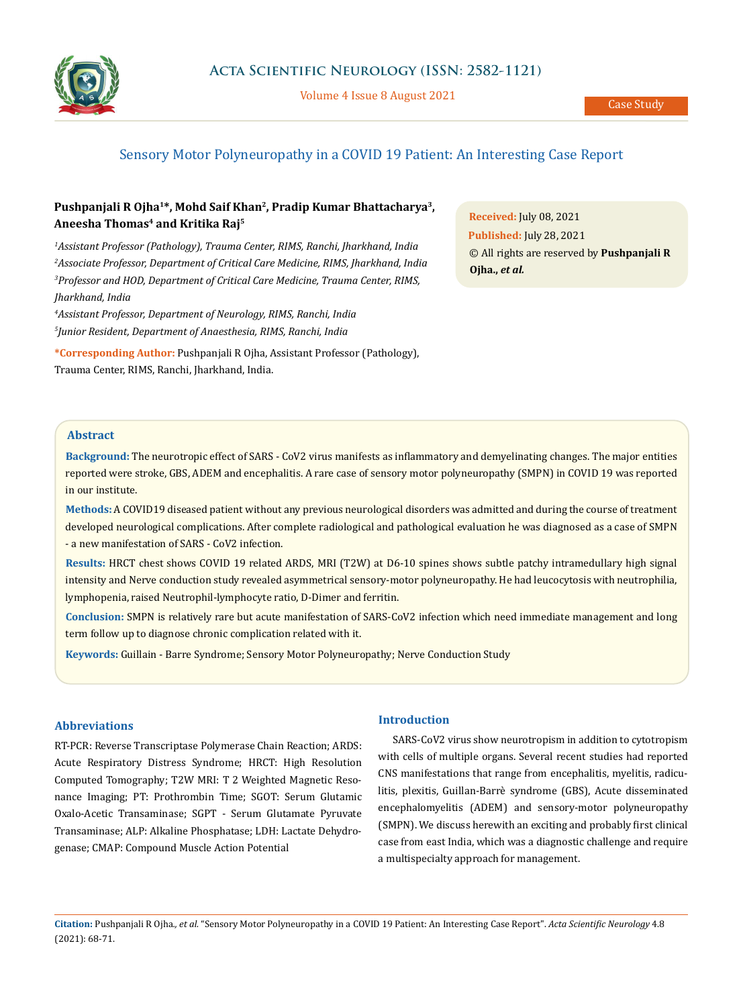

Volume 4 Issue 8 August 2021

# Sensory Motor Polyneuropathy in a COVID 19 Patient: An Interesting Case Report

# **Pushpanjali R Ojha1\*, Mohd Saif Khan2, Pradip Kumar Bhattacharya3, Aneesha Thomas4 and Kritika Raj5**

 *Assistant Professor (Pathology), Trauma Center, RIMS, Ranchi, Jharkhand, India Associate Professor, Department of Critical Care Medicine, RIMS, Jharkhand, India Professor and HOD, Department of Critical Care Medicine, Trauma Center, RIMS, Jharkhand, India* 

*4 Assistant Professor, Department of Neurology, RIMS, Ranchi, India 5 Junior Resident, Department of Anaesthesia, RIMS, Ranchi, India*

**\*Corresponding Author:** Pushpanjali R Ojha, Assistant Professor (Pathology), Trauma Center, RIMS, Ranchi, Jharkhand, India.

**Received:** July 08, 2021 **Published:** July 28, 2021 © All rights are reserved by **Pushpanjali R Ojha.,** *et al.*

## **Abstract**

**Background:** The neurotropic effect of SARS - CoV2 virus manifests as inflammatory and demyelinating changes. The major entities reported were stroke, GBS, ADEM and encephalitis. A rare case of sensory motor polyneuropathy (SMPN) in COVID 19 was reported in our institute.

**Methods:** A COVID19 diseased patient without any previous neurological disorders was admitted and during the course of treatment developed neurological complications. After complete radiological and pathological evaluation he was diagnosed as a case of SMPN - a new manifestation of SARS - CoV2 infection.

**Results:** HRCT chest shows COVID 19 related ARDS, MRI (T2W) at D6-10 spines shows subtle patchy intramedullary high signal intensity and Nerve conduction study revealed asymmetrical sensory-motor polyneuropathy. He had leucocytosis with neutrophilia, lymphopenia, raised Neutrophil-lymphocyte ratio, D-Dimer and ferritin.

**Conclusion:** SMPN is relatively rare but acute manifestation of SARS-CoV2 infection which need immediate management and long term follow up to diagnose chronic complication related with it.

**Keywords:** Guillain - Barre Syndrome; Sensory Motor Polyneuropathy; Nerve Conduction Study

## **Abbreviations**

RT-PCR: Reverse Transcriptase Polymerase Chain Reaction; ARDS: Acute Respiratory Distress Syndrome; HRCT: High Resolution Computed Tomography; T2W MRI: T 2 Weighted Magnetic Resonance Imaging; PT: Prothrombin Time; SGOT: Serum Glutamic Oxalo-Acetic Transaminase; SGPT - Serum Glutamate Pyruvate Transaminase; ALP: Alkaline Phosphatase; LDH: Lactate Dehydrogenase; CMAP: Compound Muscle Action Potential

## **Introduction**

SARS-CoV2 virus show neurotropism in addition to cytotropism with cells of multiple organs. Several recent studies had reported CNS manifestations that range from encephalitis, myelitis, radiculitis, plexitis, Guillan-Barrè syndrome (GBS), Acute disseminated encephalomyelitis (ADEM) and sensory-motor polyneuropathy (SMPN). We discuss herewith an exciting and probably first clinical case from east India, which was a diagnostic challenge and require a multispecialty approach for management.

**Citation:** Pushpanjali R Ojha*., et al.* "Sensory Motor Polyneuropathy in a COVID 19 Patient: An Interesting Case Report". *Acta Scientific Neurology* 4.8 (2021): 68-71.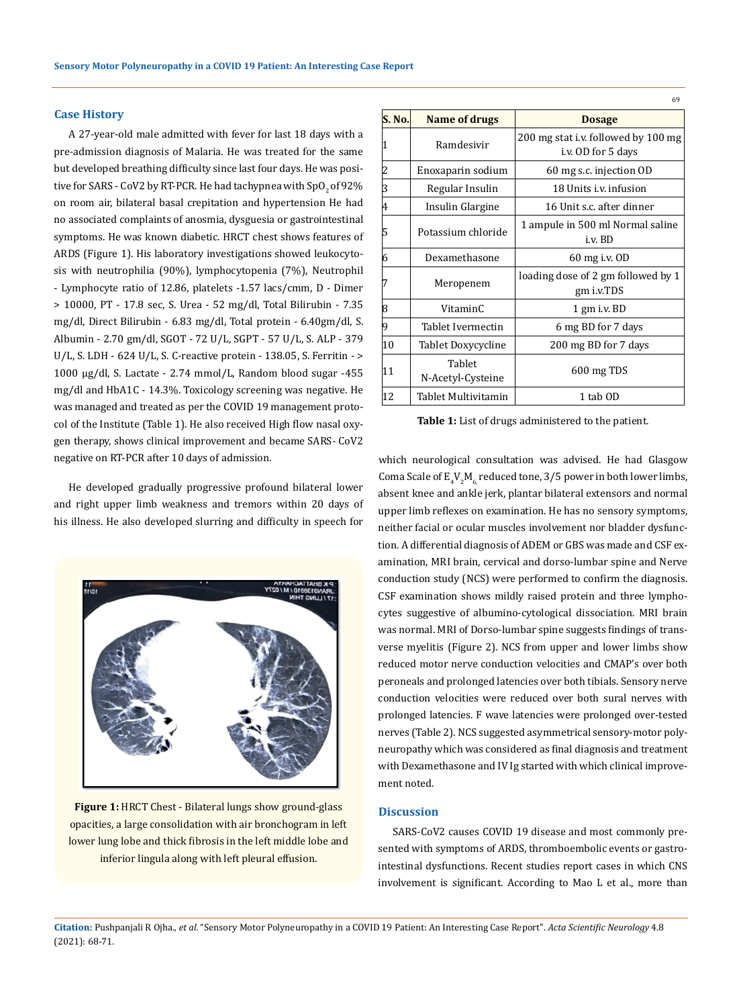#### **Case History**

A 27-year-old male admitted with fever for last 18 days with a pre-admission diagnosis of Malaria. He was treated for the same but developed breathing difficulty since last four days. He was positive for SARS - CoV2 by RT-PCR. He had tachypnea with  $SpO<sub>2</sub>$  of 92% on room air, bilateral basal crepitation and hypertension He had no associated complaints of anosmia, dysguesia or gastrointestinal symptoms. He was known diabetic. HRCT chest shows features of ARDS (Figure 1). His laboratory investigations showed leukocytosis with neutrophilia (90%), lymphocytopenia (7%), Neutrophil - Lymphocyte ratio of 12.86, platelets -1.57 lacs/cmm, D - Dimer > 10000, PT - 17.8 sec, S. Urea - 52 mg/dl, Total Bilirubin - 7.35 mg/dl, Direct Bilirubin - 6.83 mg/dl, Total protein - 6.40gm/dl, S. Albumin - 2.70 gm/dl, SGOT - 72 U/L, SGPT - 57 U/L, S. ALP - 379 U/L, S. LDH - 624 U/L, S. C-reactive protein - 138.05, S. Ferritin - > 1000 μg/dl, S. Lactate - 2.74 mmol/L, Random blood sugar -455 mg/dl and HbA1C - 14.3%. Toxicology screening was negative. He was managed and treated as per the COVID 19 management protocol of the Institute (Table 1). He also received High flow nasal oxygen therapy, shows clinical improvement and became SARS- CoV2 negative on RT-PCR after 10 days of admission.

He developed gradually progressive profound bilateral lower and right upper limb weakness and tremors within 20 days of his illness. He also developed slurring and difficulty in speech for



**Figure 1:** HRCT Chest - Bilateral lungs show ground-glass opacities, a large consolidation with air bronchogram in left lower lung lobe and thick fibrosis in the left middle lobe and inferior lingula along with left pleural effusion.

| S. No. | Name of drugs               | <b>Dosage</b>                                             |  |  |  |  |
|--------|-----------------------------|-----------------------------------------------------------|--|--|--|--|
| 1      | Ramdesivir                  | 200 mg stat i.v. followed by 100 mg<br>i.v. OD for 5 days |  |  |  |  |
| 2      | Enoxaparin sodium           | 60 mg s.c. injection OD                                   |  |  |  |  |
| 3      | Regular Insulin             | 18 Units i.v. infusion                                    |  |  |  |  |
| 4      | Insulin Glargine            | 16 Unit s.c. after dinner                                 |  |  |  |  |
| 5      | Potassium chloride          | 1 ampule in 500 ml Normal saline<br>i.v. BD               |  |  |  |  |
| 6      | Dexamethasone               | 60 mg i.v. OD                                             |  |  |  |  |
| 7      | Meropenem                   | loading dose of 2 gm followed by 1<br>gm i.v.TDS          |  |  |  |  |
| 8      | VitaminC                    | 1 gm i.v. BD                                              |  |  |  |  |
| 9      | Tablet Ivermectin           | 6 mg BD for 7 days                                        |  |  |  |  |
| 10     | Tablet Doxycycline          | 200 mg BD for 7 days                                      |  |  |  |  |
| 11     | Tablet<br>N-Acetyl-Cysteine | 600 mg TDS                                                |  |  |  |  |
| 12     | Tablet Multivitamin         | 1 tab OD                                                  |  |  |  |  |

 $69$ 

**Table 1:** List of drugs administered to the patient.

which neurological consultation was advised. He had Glasgow Coma Scale of  $\mathtt{E_4V_2M_6}$  reduced tone, 3/5 power in both lower limbs, absent knee and ankle jerk, plantar bilateral extensors and normal upper limb reflexes on examination. He has no sensory symptoms, neither facial or ocular muscles involvement nor bladder dysfunction. A differential diagnosis of ADEM or GBS was made and CSF examination, MRI brain, cervical and dorso-lumbar spine and Nerve conduction study (NCS) were performed to confirm the diagnosis. CSF examination shows mildly raised protein and three lymphocytes suggestive of albumino-cytological dissociation. MRI brain was normal. MRI of Dorso-lumbar spine suggests findings of transverse myelitis (Figure 2). NCS from upper and lower limbs show reduced motor nerve conduction velocities and CMAP's over both peroneals and prolonged latencies over both tibials. Sensory nerve conduction velocities were reduced over both sural nerves with prolonged latencies. F wave latencies were prolonged over-tested nerves (Table 2). NCS suggested asymmetrical sensory-motor polyneuropathy which was considered as final diagnosis and treatment with Dexamethasone and IV Ig started with which clinical improvement noted.

#### **Discussion**

SARS-CoV2 causes COVID 19 disease and most commonly presented with symptoms of ARDS, thromboembolic events or gastrointestinal dysfunctions. Recent studies report cases in which CNS involvement is significant. According to Mao L et al., more than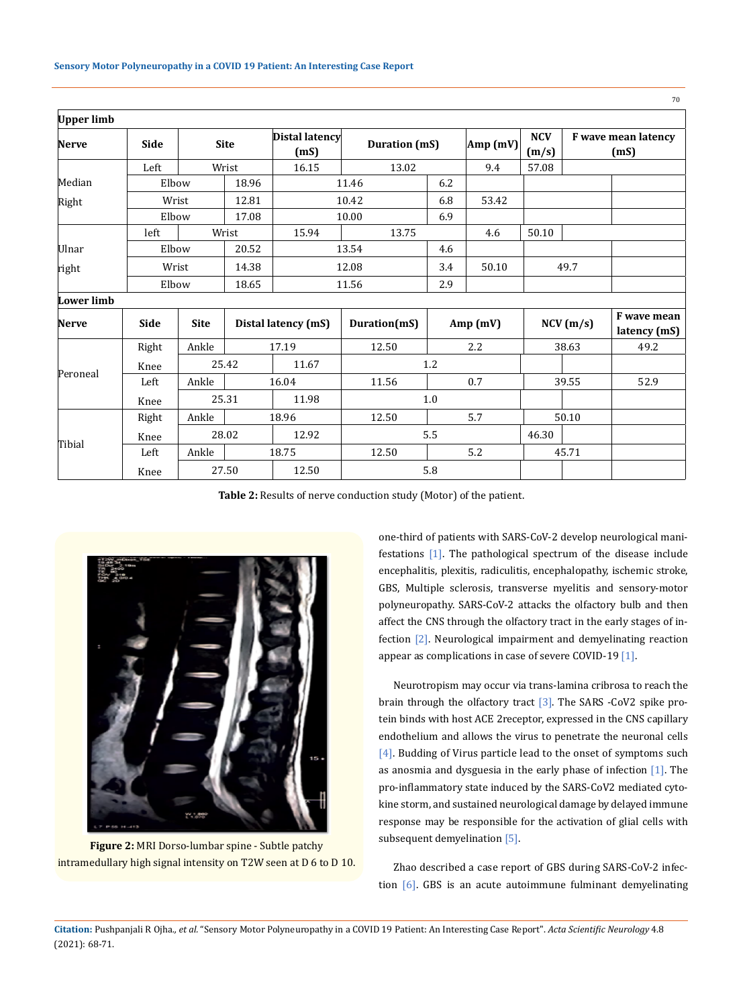| <b>Upper limb</b> |             |             |             |                               |                      |     |          |                     |                             |                             |
|-------------------|-------------|-------------|-------------|-------------------------------|----------------------|-----|----------|---------------------|-----------------------------|-----------------------------|
| <b>Nerve</b>      | <b>Side</b> |             | <b>Site</b> | <b>Distal latency</b><br>(mS) | <b>Duration</b> (mS) |     | Amp (mV) | <b>NCV</b><br>(m/s) | F wave mean latency<br>(mS) |                             |
|                   | Left        |             | Wrist       | 16.15                         | 13.02                |     | 9.4      | 57.08               |                             |                             |
| Median            | Elbow       |             | 18.96       |                               | 11.46                | 6.2 |          |                     |                             |                             |
| Right             |             | Wrist       |             | 10.42                         |                      | 6.8 | 53.42    |                     |                             |                             |
|                   |             | Elbow       |             | 10.00                         |                      | 6.9 |          |                     |                             |                             |
|                   | left        |             | Wrist       | 15.94                         | 13.75                |     | 4.6      | 50.10               |                             |                             |
| Ulnar             | Elbow       |             | 20.52       |                               | 13.54                | 4.6 |          |                     |                             |                             |
| right             |             | Wrist       |             | 12.08                         |                      | 3.4 | 50.10    | 49.7                |                             |                             |
|                   |             | Elbow       |             | 11.56                         |                      | 2.9 |          |                     |                             |                             |
| <b>Lower limb</b> |             |             |             |                               |                      |     |          |                     |                             |                             |
| <b>Nerve</b>      | <b>Side</b> | <b>Site</b> |             | Distal latency (mS)           | Duration(mS)         |     | Amp(mV)  | NCV(m/s)            |                             | F wave mean<br>latency (mS) |
| Peroneal          | Right       | Ankle       |             | 17.19                         | 12.50                |     | 2.2      | 38.63               |                             | 49.2                        |
|                   | Knee        |             | 25.42       | 11.67                         | 1.2                  |     |          |                     |                             |                             |
|                   | Left        | Ankle       |             | 16.04                         | 11.56                |     | 0.7      |                     | 39.55                       | 52.9                        |
|                   | Knee        |             | 25.31       | 11.98                         | 1.0                  |     |          |                     |                             |                             |
| Tibial            | Right       | Ankle       |             | 18.96                         | 12.50                |     | 5.7      | 50.10               |                             |                             |
|                   | Knee        |             | 28.02       | 12.92                         | 5.5                  |     |          | 46.30               |                             |                             |
|                   | Left        | Ankle       |             | 18.75                         | 12.50                | 5.2 |          | 45.71               |                             |                             |
|                   | Knee        |             | 27.50       | 12.50                         | 5.8                  |     |          |                     |                             |                             |

**Table 2:** Results of nerve conduction study (Motor) of the patient.



**Figure 2:** MRI Dorso-lumbar spine - Subtle patchy intramedullary high signal intensity on T2W seen at D 6 to D 10.

one-third of patients with SARS-CoV-2 develop neurological manifestations [1]. The pathological spectrum of the disease include encephalitis, plexitis, radiculitis, encephalopathy, ischemic stroke, GBS, Multiple sclerosis, transverse myelitis and sensory-motor polyneuropathy. SARS-CoV-2 attacks the olfactory bulb and then affect the CNS through the olfactory tract in the early stages of infection [2]. Neurological impairment and demyelinating reaction appear as complications in case of severe COVID-19 [1].

Neurotropism may occur via trans-lamina cribrosa to reach the brain through the olfactory tract [3]. The SARS -CoV2 spike protein binds with host ACE 2receptor, expressed in the CNS capillary endothelium and allows the virus to penetrate the neuronal cells [4]. Budding of Virus particle lead to the onset of symptoms such as anosmia and dysguesia in the early phase of infection [1]. The pro-inflammatory state induced by the SARS-CoV2 mediated cytokine storm, and sustained neurological damage by delayed immune response may be responsible for the activation of glial cells with subsequent demyelination [5].

Zhao described a case report of GBS during SARS-CoV-2 infection [6]. GBS is an acute autoimmune fulminant demyelinating

70

**Citation:** Pushpanjali R Ojha*., et al.* "Sensory Motor Polyneuropathy in a COVID 19 Patient: An Interesting Case Report". *Acta Scientific Neurology* 4.8 (2021): 68-71.